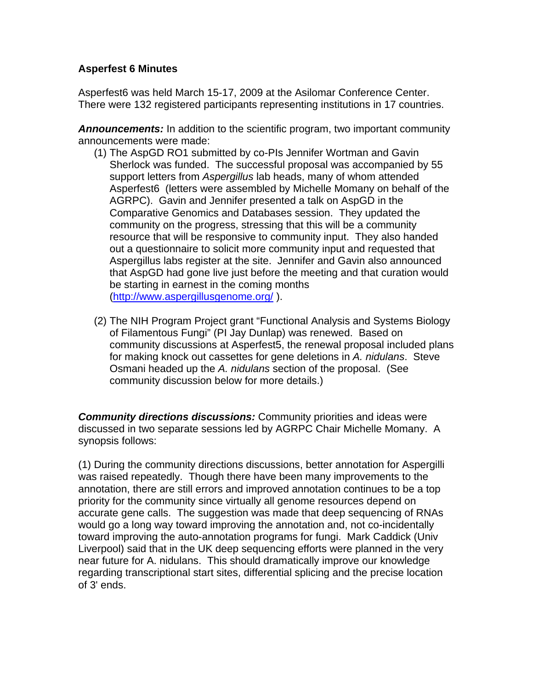## **Asperfest 6 Minutes**

Asperfest6 was held March 15-17, 2009 at the Asilomar Conference Center. There were 132 registered participants representing institutions in 17 countries.

*Announcements:* In addition to the scientific program, two important community announcements were made:

- (1) The AspGD RO1 submitted by co-PIs Jennifer Wortman and Gavin Sherlock was funded. The successful proposal was accompanied by 55 support letters from *Aspergillus* lab heads, many of whom attended Asperfest6 (letters were assembled by Michelle Momany on behalf of the AGRPC). Gavin and Jennifer presented a talk on AspGD in the Comparative Genomics and Databases session. They updated the community on the progress, stressing that this will be a community resource that will be responsive to community input. They also handed out a questionnaire to solicit more community input and requested that Aspergillus labs register at the site. Jennifer and Gavin also announced that AspGD had gone live just before the meeting and that curation would be starting in earnest in the coming months (http://www.aspergillusgenome.org/ ).
- (2) The NIH Program Project grant "Functional Analysis and Systems Biology of Filamentous Fungi" (PI Jay Dunlap) was renewed. Based on community discussions at Asperfest5, the renewal proposal included plans for making knock out cassettes for gene deletions in *A. nidulans*. Steve Osmani headed up the *A. nidulans* section of the proposal. (See community discussion below for more details.)

*Community directions discussions:* Community priorities and ideas were discussed in two separate sessions led by AGRPC Chair Michelle Momany. A synopsis follows:

(1) During the community directions discussions, better annotation for Aspergilli was raised repeatedly. Though there have been many improvements to the annotation, there are still errors and improved annotation continues to be a top priority for the community since virtually all genome resources depend on accurate gene calls. The suggestion was made that deep sequencing of RNAs would go a long way toward improving the annotation and, not co-incidentally toward improving the auto-annotation programs for fungi. Mark Caddick (Univ Liverpool) said that in the UK deep sequencing efforts were planned in the very near future for A. nidulans. This should dramatically improve our knowledge regarding transcriptional start sites, differential splicing and the precise location of 3' ends.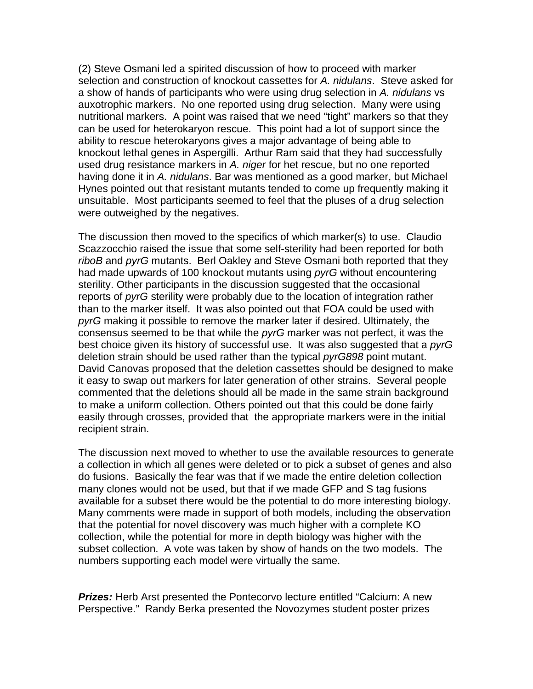(2) Steve Osmani led a spirited discussion of how to proceed with marker selection and construction of knockout cassettes for *A. nidulans*. Steve asked for a show of hands of participants who were using drug selection in *A. nidulans* vs auxotrophic markers. No one reported using drug selection. Many were using nutritional markers. A point was raised that we need "tight" markers so that they can be used for heterokaryon rescue. This point had a lot of support since the ability to rescue heterokaryons gives a major advantage of being able to knockout lethal genes in Aspergilli. Arthur Ram said that they had successfully used drug resistance markers in *A. niger* for het rescue, but no one reported having done it in *A. nidulans*. Bar was mentioned as a good marker, but Michael Hynes pointed out that resistant mutants tended to come up frequently making it unsuitable. Most participants seemed to feel that the pluses of a drug selection were outweighed by the negatives.

The discussion then moved to the specifics of which marker(s) to use. Claudio Scazzocchio raised the issue that some self-sterility had been reported for both *riboB* and *pyrG* mutants. Berl Oakley and Steve Osmani both reported that they had made upwards of 100 knockout mutants using *pyrG* without encountering sterility. Other participants in the discussion suggested that the occasional reports of *pyrG* sterility were probably due to the location of integration rather than to the marker itself. It was also pointed out that FOA could be used with *pyrG* making it possible to remove the marker later if desired. Ultimately, the consensus seemed to be that while the *pyrG* marker was not perfect, it was the best choice given its history of successful use. It was also suggested that a *pyrG*  deletion strain should be used rather than the typical *pyrG898* point mutant. David Canovas proposed that the deletion cassettes should be designed to make it easy to swap out markers for later generation of other strains. Several people commented that the deletions should all be made in the same strain background to make a uniform collection. Others pointed out that this could be done fairly easily through crosses, provided that the appropriate markers were in the initial recipient strain.

The discussion next moved to whether to use the available resources to generate a collection in which all genes were deleted or to pick a subset of genes and also do fusions. Basically the fear was that if we made the entire deletion collection many clones would not be used, but that if we made GFP and S tag fusions available for a subset there would be the potential to do more interesting biology. Many comments were made in support of both models, including the observation that the potential for novel discovery was much higher with a complete KO collection, while the potential for more in depth biology was higher with the subset collection. A vote was taken by show of hands on the two models. The numbers supporting each model were virtually the same.

**Prizes:** Herb Arst presented the Pontecorvo lecture entitled "Calcium: A new Perspective." Randy Berka presented the Novozymes student poster prizes